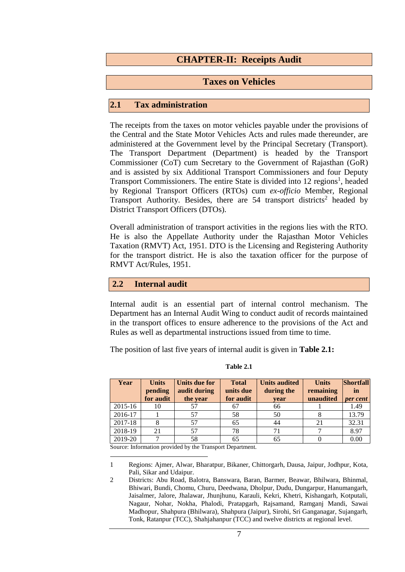# **CHAPTER-II: Receipts Audit**

# **Taxes on Vehicles**

#### **2.1 Tax administration**

The receipts from the taxes on motor vehicles payable under the provisions of the Central and the State Motor Vehicles Acts and rules made thereunder, are administered at the Government level by the Principal Secretary (Transport). The Transport Department (Department) is headed by the Transport Commissioner (CoT) cum Secretary to the Government of Rajasthan (GoR) and is assisted by six Additional Transport Commissioners and four Deputy Transport Commissioners. The entire State is divided into 12 regions<sup>1</sup>, headed by Regional Transport Officers (RTOs) cum *ex*-*officio* Member, Regional Transport Authority. Besides, there are  $54$  transport districts<sup>2</sup> headed by District Transport Officers (DTOs).

Overall administration of transport activities in the regions lies with the RTO. He is also the Appellate Authority under the Rajasthan Motor Vehicles Taxation (RMVT) Act, 1951. DTO is the Licensing and Registering Authority for the transport district. He is also the taxation officer for the purpose of RMVT Act/Rules, 1951.

### **2.2 Internal audit**

Internal audit is an essential part of internal control mechanism. The Department has an Internal Audit Wing to conduct audit of records maintained in the transport offices to ensure adherence to the provisions of the Act and Rules as well as departmental instructions issued from time to time.

The position of last five years of internal audit is given in **Table 2.1:**

| Year    | <b>Units</b><br>pending<br>for audit | Units due for<br>audit during<br>the year | <b>Total</b><br>units due<br>for audit | <b>Units audited</b><br>during the<br>year | <b>Units</b><br>remaining<br>unaudited | <b>Shortfall</b><br>in<br>per cent |
|---------|--------------------------------------|-------------------------------------------|----------------------------------------|--------------------------------------------|----------------------------------------|------------------------------------|
| 2015-16 | 10                                   | 57                                        | 67                                     | 66                                         |                                        | 1.49                               |
| 2016-17 |                                      | 57                                        | 58                                     | 50                                         |                                        | 13.79                              |
| 2017-18 |                                      | 57                                        | 65                                     | 44                                         | 21                                     | 32.31                              |
| 2018-19 | 21                                   | 57                                        | 78                                     | 71                                         |                                        | 8.97                               |
| 2019-20 |                                      | 58                                        | 65                                     | 65                                         |                                        | 0.00                               |

#### **Table 2.1**

Source: Information provided by the Transport Department.

<sup>1</sup> Regions: Ajmer, Alwar, Bharatpur, Bikaner, Chittorgarh, Dausa, Jaipur, Jodhpur, Kota, Pali, Sikar and Udaipur.

<sup>2</sup> Districts: Abu Road, Balotra, Banswara, Baran, Barmer, Beawar, Bhilwara, Bhinmal, Bhiwari, Bundi, Chomu, Churu, Deedwana, Dholpur, Dudu, Dungarpur, Hanumangarh, Jaisalmer, Jalore, Jhalawar, Jhunjhunu, Karauli, Kekri, Khetri, Kishangarh, Kotputali, Nagaur, Nohar, Nokha, Phalodi, Pratapgarh, Rajsamand, Ramganj Mandi, Sawai Madhopur, Shahpura (Bhilwara), Shahpura (Jaipur), Sirohi, Sri Ganganagar, Sujangarh, Tonk, Ratanpur (TCC), Shahjahanpur (TCC) and twelve districts at regional level.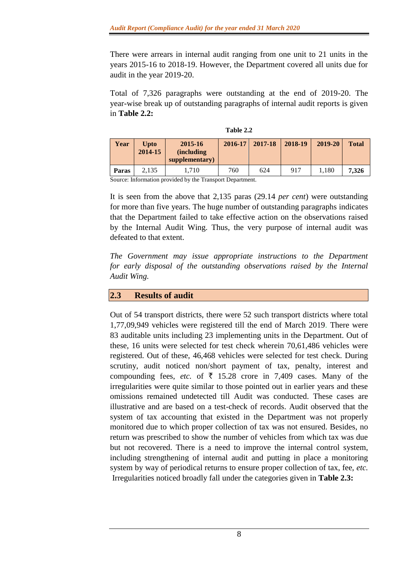There were arrears in internal audit ranging from one unit to 21 units in the years 2015-16 to 2018-19. However, the Department covered all units due for audit in the year 2019-20.

Total of 7,326 paragraphs were outstanding at the end of 2019-20. The year-wise break up of outstanding paragraphs of internal audit reports is given in **Table 2.2:**

|                                                                           |                         |                                                 | * * * * * * * * * |         |         |         |              |
|---------------------------------------------------------------------------|-------------------------|-------------------------------------------------|-------------------|---------|---------|---------|--------------|
| Year                                                                      | <b>U</b> pto<br>2014-15 | 2015-16<br><i>(including)</i><br>supplementary) | $2016 - 17$       | 2017-18 | 2018-19 | 2019-20 | <b>Total</b> |
| <b>Paras</b>                                                              | 2.135                   | 1.710                                           | 760               | 624     | 917     | 1.180   | 7.326        |
| $\alpha$ is the state of $\alpha$ in $\alpha$ in $\alpha$ is the $\alpha$ |                         |                                                 |                   |         |         |         |              |

**Table 2.2**

Source: Information provided by the Transport Department.

It is seen from the above that 2,135 paras (29.14 *per cent*) were outstanding for more than five years. The huge number of outstanding paragraphs indicates that the Department failed to take effective action on the observations raised by the Internal Audit Wing. Thus, the very purpose of internal audit was defeated to that extent.

*The Government may issue appropriate instructions to the Department*  for early disposal of the outstanding observations raised by the Internal *Audit Wing.*

# **2.3 Results of audit**

Out of 54 transport districts, there were 52 such transport districts where total 1,77,09,949 vehicles were registered till the end of March 2019. There were 83 auditable units including 23 implementing units in the Department. Out of these, 16 units were selected for test check wherein 70,61,486 vehicles were registered. Out of these, 46,468 vehicles were selected for test check. During scrutiny, audit noticed non/short payment of tax, penalty, interest and compounding fees, *etc.* of  $\bar{\tau}$  15.28 crore in 7,409 cases. Many of the irregularities were quite similar to those pointed out in earlier years and these omissions remained undetected till Audit was conducted. These cases are illustrative and are based on a test-check of records. Audit observed that the system of tax accounting that existed in the Department was not properly monitored due to which proper collection of tax was not ensured. Besides, no return was prescribed to show the number of vehicles from which tax was due but not recovered. There is a need to improve the internal control system, including strengthening of internal audit and putting in place a monitoring system by way of periodical returns to ensure proper collection of tax, fee, *etc.* Irregularities noticed broadly fall under the categories given in **Table 2.3:**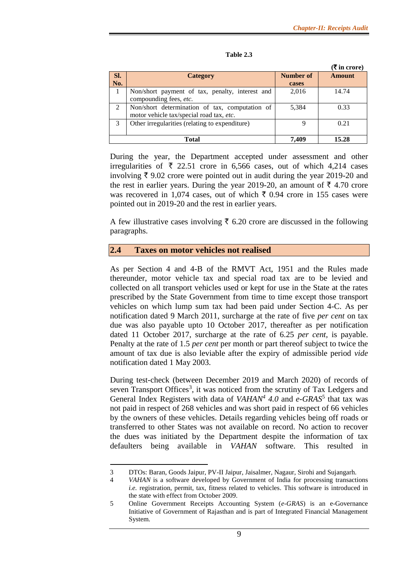|               |                                                 |           | $(\bar{\bar{\mathbf{x}}}$ in crore) |  |
|---------------|-------------------------------------------------|-----------|-------------------------------------|--|
| SI.           | <b>Category</b>                                 | Number of | <b>Amount</b>                       |  |
| No.           |                                                 | cases     |                                     |  |
|               | Non/short payment of tax, penalty, interest and | 2,016     | 14.74                               |  |
|               | compounding fees, etc.                          |           |                                     |  |
| 2             | Non/short determination of tax, computation of  | 5,384     | 0.33                                |  |
|               | motor vehicle tax/special road tax, etc.        |           |                                     |  |
| $\mathcal{R}$ | Other irregularities (relating to expenditure)  | q         | 0.21                                |  |
|               |                                                 |           |                                     |  |
|               | 7.409<br>15.28<br>Total                         |           |                                     |  |

#### **Table 2.3**

During the year, the Department accepted under assessment and other irregularities of  $\overline{\xi}$  22.51 crore in 6,566 cases, out of which 4,214 cases involving  $\bar{\xi}$  9.02 crore were pointed out in audit during the year 2019-20 and the rest in earlier years. During the year 2019-20, an amount of  $\bar{\tau}$  4.70 crore was recovered in 1,074 cases, out of which  $\bar{\tau}$  0.94 crore in 155 cases were pointed out in 2019-20 and the rest in earlier years.

A few illustrative cases involving  $\bar{\tau}$  6.20 crore are discussed in the following paragraphs.

# **2.4 Taxes on motor vehicles not realised**

As per Section 4 and 4-B of the RMVT Act, 1951 and the Rules made thereunder, motor vehicle tax and special road tax are to be levied and collected on all transport vehicles used or kept for use in the State at the rates prescribed by the State Government from time to time except those transport vehicles on which lump sum tax had been paid under Section 4-C. As per notification dated 9 March 2011, surcharge at the rate of five *per cent* on tax due was also payable upto 10 October 2017, thereafter as per notification dated 11 October 2017, surcharge at the rate of 6.25 *per cent,* is payable. Penalty at the rate of 1.5 *per cent* per month or part thereof subject to twice the amount of tax due is also leviable after the expiry of admissible period *vide*  notification dated 1 May 2003.

During test-check (between December 2019 and March 2020) of records of seven Transport Offices<sup>3</sup>, it was noticed from the scrutiny of Tax Ledgers and General Index Registers with data of *VAHAN<sup>4</sup>* 4.0 and *e*-GRAS<sup>5</sup> that tax was not paid in respect of 268 vehicles and was short paid in respect of 66 vehicles by the owners of these vehicles. Details regarding vehicles being off roads or transferred to other States was not available on record. No action to recover the dues was initiated by the Department despite the information of tax defaulters being available in *VAHAN* software. This resulted in

<sup>3</sup> DTOs: Baran, Goods Jaipur, PV-II Jaipur, Jaisalmer, Nagaur, Sirohi and Sujangarh.

<sup>4</sup> *VAHAN* is a software developed by Government of India for processing transactions *i.e.* registration, permit, tax, fitness related to vehicles. This software is introduced in the state with effect from October 2009.

<sup>5</sup> Online Government Receipts Accounting System (*e-GRAS*) is an e-Governance Initiative of Government of Rajasthan and is part of Integrated Financial Management System.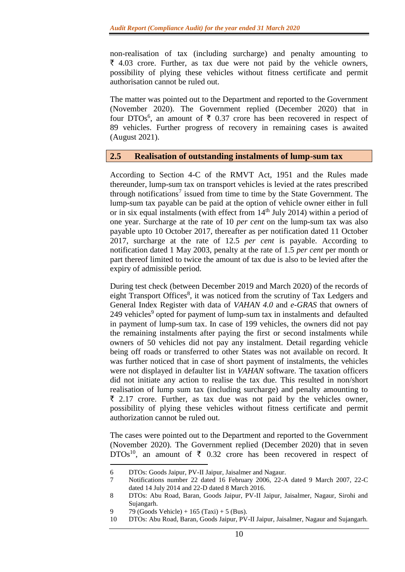non-realisation of tax (including surcharge) and penalty amounting to  $\bar{\xi}$  4.03 crore. Further, as tax due were not paid by the vehicle owners, possibility of plying these vehicles without fitness certificate and permit authorisation cannot be ruled out.

The matter was pointed out to the Department and reported to the Government (November 2020). The Government replied (December 2020) that in four DTOs<sup>6</sup>, an amount of  $\bar{\tau}$  0.37 crore has been recovered in respect of 89 vehicles. Further progress of recovery in remaining cases is awaited (August 2021).

### **2.5 Realisation of outstanding instalments of lump-sum tax**

According to Section 4-C of the RMVT Act, 1951 and the Rules made thereunder, lump-sum tax on transport vehicles is levied at the rates prescribed through notifications<sup>7</sup> issued from time to time by the State Government. The lump-sum tax payable can be paid at the option of vehicle owner either in full or in six equal instalments (with effect from  $14<sup>th</sup>$  July 2014) within a period of one year. Surcharge at the rate of 10 *per cent* on the lump-sum tax was also payable upto 10 October 2017, thereafter as per notification dated 11 October 2017, surcharge at the rate of 12.5 *per cent* is payable. According to notification dated 1 May 2003, penalty at the rate of 1.5 *per cent* per month or part thereof limited to twice the amount of tax due is also to be levied after the expiry of admissible period.

During test check (between December 2019 and March 2020) of the records of eight Transport Offices<sup>8</sup>, it was noticed from the scrutiny of Tax Ledgers and General Index Register with data of *VAHAN 4.0* and *e-GRAS* that owners of 249 vehicles<sup>9</sup> opted for payment of lump-sum tax in instalments and defaulted in payment of lump-sum tax. In case of 199 vehicles, the owners did not pay the remaining instalments after paying the first or second instalments while owners of 50 vehicles did not pay any instalment. Detail regarding vehicle being off roads or transferred to other States was not available on record. It was further noticed that in case of short payment of instalments, the vehicles were not displayed in defaulter list in *VAHAN* software. The taxation officers did not initiate any action to realise the tax due. This resulted in non/short realisation of lump sum tax (including surcharge) and penalty amounting to  $\bar{\xi}$  2.17 crore. Further, as tax due was not paid by the vehicles owner, possibility of plying these vehicles without fitness certificate and permit authorization cannot be ruled out.

The cases were pointed out to the Department and reported to the Government (November 2020). The Government replied (December 2020) that in seven DTOs<sup>10</sup>, an amount of  $\bar{\tau}$  0.32 crore has been recovered in respect of

9 79 (Goods Vehicle) + 165 (Taxi) + 5 (Bus).

<sup>6</sup> DTOs: Goods Jaipur, PV-II Jaipur, Jaisalmer and Nagaur.

<sup>7</sup> Notifications number 22 dated 16 February 2006, 22-A dated 9 March 2007, 22-C dated 14 July 2014 and 22-D dated 8 March 2016.

<sup>8</sup> DTOs: Abu Road, Baran, Goods Jaipur, PV-II Jaipur, Jaisalmer, Nagaur, Sirohi and Sujangarh.

<sup>10</sup> DTOs: Abu Road, Baran, Goods Jaipur, PV-II Jaipur, Jaisalmer, Nagaur and Sujangarh.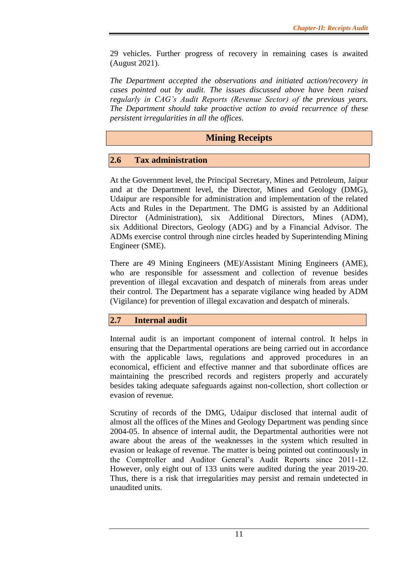29 vehicles. Further progress of recovery in remaining cases is awaited (August 2021).

*The Department accepted the observations and initiated action/recovery in cases pointed out by audit. The issues discussed above have been raised regularly in CAG's Audit Reports (Revenue Sector) of the previous years. The Department should take proactive action to avoid recurrence of these persistent irregularities in all the offices.*

# **Mining Receipts**

# **2.6 Tax administration**

At the Government level, the Principal Secretary, Mines and Petroleum, Jaipur and at the Department level, the Director, Mines and Geology (DMG), Udaipur are responsible for administration and implementation of the related Acts and Rules in the Department. The DMG is assisted by an Additional Director (Administration), six Additional Directors, Mines (ADM), six Additional Directors, Geology (ADG) and by a Financial Advisor. The ADMs exercise control through nine circles headed by Superintending Mining Engineer (SME).

There are 49 Mining Engineers (ME)/Assistant Mining Engineers (AME), who are responsible for assessment and collection of revenue besides prevention of illegal excavation and despatch of minerals from areas under their control. The Department has a separate vigilance wing headed by ADM (Vigilance) for prevention of illegal excavation and despatch of minerals.

# **2.7 Internal audit**

Internal audit is an important component of internal control. It helps in ensuring that the Departmental operations are being carried out in accordance with the applicable laws, regulations and approved procedures in an economical, efficient and effective manner and that subordinate offices are maintaining the prescribed records and registers properly and accurately besides taking adequate safeguards against non-collection, short collection or evasion of revenue.

Scrutiny of records of the DMG, Udaipur disclosed that internal audit of almost all the offices of the Mines and Geology Department was pending since 2004-05. In absence of internal audit, the Departmental authorities were not aware about the areas of the weaknesses in the system which resulted in evasion or leakage of revenue. The matter is being pointed out continuously in the Comptroller and Auditor General's Audit Reports since 2011-12. However, only eight out of 133 units were audited during the year 2019-20. Thus, there is a risk that irregularities may persist and remain undetected in unaudited units.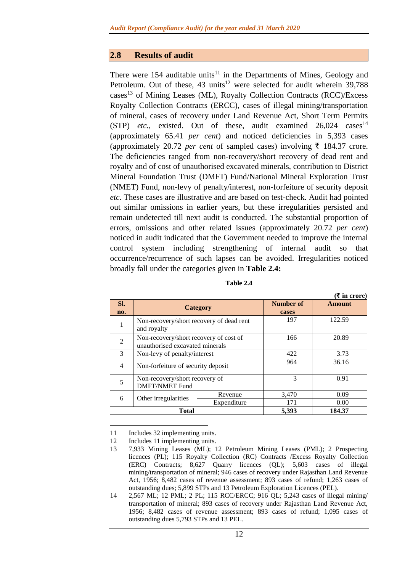### **2.8 Results of audit**

There were 154 auditable units<sup>11</sup> in the Departments of Mines, Geology and Petroleum. Out of these, 43 units<sup>12</sup> were selected for audit wherein 39,788 cases<sup>13</sup> of Mining Leases (ML), Royalty Collection Contracts (RCC)/Excess Royalty Collection Contracts (ERCC), cases of illegal mining/transportation of mineral, cases of recovery under Land Revenue Act, Short Term Permits  $(STP)$  *etc.*, existed. Out of these, audit examined  $26,024$  cases<sup>14</sup> (approximately 65.41 *per cent*) and noticed deficiencies in 5,393 cases (approximately 20.72 *per cent* of sampled cases) involving  $\bar{\tau}$  184.37 crore. The deficiencies ranged from non-recovery/short recovery of dead rent and royalty and of cost of unauthorised excavated minerals, contribution to District Mineral Foundation Trust (DMFT) Fund/National Mineral Exploration Trust (NMET) Fund, non-levy of penalty/interest, non-forfeiture of security deposit *etc.* These cases are illustrative and are based on test-check. Audit had pointed out similar omissions in earlier years, but these irregularities persisted and remain undetected till next audit is conducted. The substantial proportion of errors, omissions and other related issues (approximately 20.72 *per cent*) noticed in audit indicated that the Government needed to improve the internal control system including strengthening of internal audit so that occurrence/recurrence of such lapses can be avoided. Irregularities noticed broadly fall under the categories given in **Table 2.4:**

| $($ ₹ in crore) |                                          |                 |           |        |  |
|-----------------|------------------------------------------|-----------------|-----------|--------|--|
| SI.             |                                          | <b>Category</b> | Number of | Amount |  |
| no.             |                                          |                 | cases     |        |  |
|                 | Non-recovery/short recovery of dead rent |                 | 197       | 122.59 |  |
|                 | and royalty                              |                 |           |        |  |
| $\mathfrak{D}$  | Non-recovery/short recovery of cost of   |                 | 166       | 20.89  |  |
|                 | unauthorised excavated minerals          |                 |           |        |  |
| $\mathcal{R}$   | Non-levy of penalty/interest             |                 | 422       | 3.73   |  |
| $\overline{4}$  | Non-forfeiture of security deposit       |                 | 964       | 36.16  |  |
|                 |                                          |                 |           |        |  |
| 5               | Non-recovery/short recovery of           |                 | 3         | 0.91   |  |
|                 | <b>DMFT/NMET Fund</b>                    |                 |           |        |  |
| 6               | Other irregularities                     | Revenue         | 3,470     | 0.09   |  |
|                 |                                          | Expenditure     | 171       | 0.00   |  |
|                 | <b>Total</b>                             | 5,393           | 184.37    |        |  |

1 11 Includes 32 implementing units.

12 Includes 11 implementing units.

<sup>13</sup> 7,933 Mining Leases (ML); 12 Petroleum Mining Leases (PML); 2 Prospecting licences (PL); 115 Royalty Collection (RC) Contracts /Excess Royalty Collection (ERC) Contracts; 8,627 Quarry licences (QL); 5,603 cases of illegal mining/transportation of mineral; 946 cases of recovery under Rajasthan Land Revenue Act, 1956; 8,482 cases of revenue assessment; 893 cases of refund; 1,263 cases of outstanding dues; 5,899 STPs and 13 Petroleum Exploration Licences (PEL).

<sup>14</sup> 2,567 ML; 12 PML; 2 PL; 115 RCC/ERCC; 916 QL; 5,243 cases of illegal mining/ transportation of mineral; 893 cases of recovery under Rajasthan Land Revenue Act, 1956; 8,482 cases of revenue assessment; 893 cases of refund; 1,095 cases of outstanding dues 5,793 STPs and 13 PEL.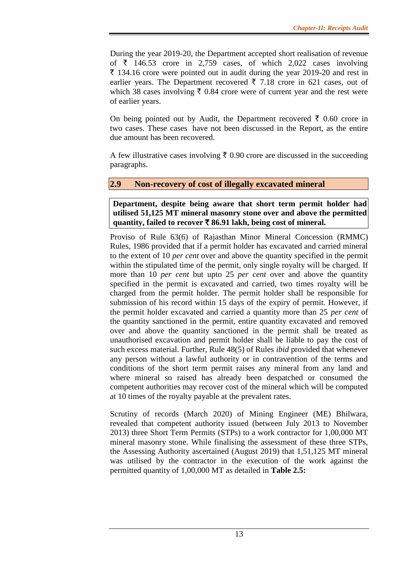During the year 2019-20, the Department accepted short realisation of revenue of  $\bar{\tau}$  146.53 crore in 2,759 cases, of which 2,022 cases involving  $\bar{\xi}$  134.16 crore were pointed out in audit during the year 2019-20 and rest in earlier years. The Department recovered  $\bar{\tau}$  7.18 crore in 621 cases, out of which 38 cases involving  $\bar{\tau}$  0.84 crore were of current year and the rest were of earlier years.

On being pointed out by Audit, the Department recovered  $\bar{\tau}$  0.60 crore in two cases. These cases have not been discussed in the Report, as the entire due amount has been recovered.

A few illustrative cases involving  $\bar{\tau}$  0.90 crore are discussed in the succeeding paragraphs.

# **2.9 Non-recovery of cost of illegally excavated mineral**

**Department, despite being aware that short term permit holder had utilised 51,125 MT mineral masonry stone over and above the permitted quantity, failed to recover** ` **86.91 lakh, being cost of mineral.**

Proviso of Rule 63(6) of Rajasthan Minor Mineral Concession (RMMC) Rules, 1986 provided that if a permit holder has excavated and carried mineral to the extent of 10 *per cent* over and above the quantity specified in the permit within the stipulated time of the permit, only single royalty will be charged. If more than 10 *per cent* but upto 25 *per cent* over and above the quantity specified in the permit is excavated and carried, two times royalty will be charged from the permit holder. The permit holder shall be responsible for submission of his record within 15 days of the expiry of permit. However, if the permit holder excavated and carried a quantity more than 25 *per cent* of the quantity sanctioned in the permit, entire quantity excavated and removed over and above the quantity sanctioned in the permit shall be treated as unauthorised excavation and permit holder shall be liable to pay the cost of such excess material. Further, Rule 48(5) of Rules *ibid* provided that whenever any person without a lawful authority or in contravention of the terms and conditions of the short term permit raises any mineral from any land and where mineral so raised has already been despatched or consumed the competent authorities may recover cost of the mineral which will be computed at 10 times of the royalty payable at the prevalent rates.

Scrutiny of records (March 2020) of Mining Engineer (ME) Bhilwara, revealed that competent authority issued (between July 2013 to November 2013) three Short Term Permits (STPs) to a work contractor for 1,00,000 MT mineral masonry stone. While finalising the assessment of these three STPs, the Assessing Authority ascertained (August 2019) that 1,51,125 MT mineral was utilised by the contractor in the execution of the work against the permitted quantity of 1,00,000 MT as detailed in **Table 2.5:**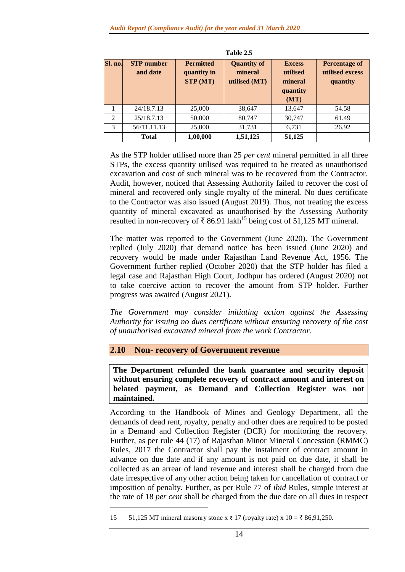| Table 2.5 |                               |                                                    |                                                |                                                          |                                                     |  |  |
|-----------|-------------------------------|----------------------------------------------------|------------------------------------------------|----------------------------------------------------------|-----------------------------------------------------|--|--|
| Sl. no.   | <b>STP</b> number<br>and date | <b>Permitted</b><br>quantity in<br><b>STP</b> (MT) | <b>Quantity of</b><br>mineral<br>utilised (MT) | <b>Excess</b><br>utilised<br>mineral<br>quantity<br>(MT) | <b>Percentage of</b><br>utilised excess<br>quantity |  |  |
|           | 24/18.7.13                    | 25,000                                             | 38,647                                         | 13,647                                                   | 54.58                                               |  |  |
| 2         | 25/18.7.13                    | 50,000                                             | 80,747                                         | 30,747                                                   | 61.49                                               |  |  |
| 3         | 56/11.11.13                   | 25,000                                             | 31,731                                         | 6,731                                                    | 26.92                                               |  |  |
|           | <b>Total</b>                  | 1,00,000                                           | 1,51,125                                       | 51,125                                                   |                                                     |  |  |

As the STP holder utilised more than 25 *per cent* mineral permitted in all three STPs, the excess quantity utilised was required to be treated as unauthorised excavation and cost of such mineral was to be recovered from the Contractor. Audit, however, noticed that Assessing Authority failed to recover the cost of mineral and recovered only single royalty of the mineral. No dues certificate to the Contractor was also issued (August 2019). Thus, not treating the excess quantity of mineral excavated as unauthorised by the Assessing Authority resulted in non-recovery of  $\overline{\tau}$  86.91 lakh<sup>15</sup> being cost of 51,125 MT mineral.

The matter was reported to the Government (June 2020). The Government replied (July 2020) that demand notice has been issued (June 2020) and recovery would be made under Rajasthan Land Revenue Act, 1956. The Government further replied (October 2020) that the STP holder has filed a legal case and Rajasthan High Court, Jodhpur has ordered (August 2020) not to take coercive action to recover the amount from STP holder. Further progress was awaited (August 2021).

*The Government may consider initiating action against the Assessing Authority for issuing no dues certificate without ensuring recovery of the cost of unauthorised excavated mineral from the work Contractor.*

# **2.10 Non- recovery of Government revenue**

**The Department refunded the bank guarantee and security deposit without ensuring complete recovery of contract amount and interest on belated payment, as Demand and Collection Register was not maintained.** 

According to the Handbook of Mines and Geology Department, all the demands of dead rent, royalty, penalty and other dues are required to be posted in a Demand and Collection Register (DCR) for monitoring the recovery. Further, as per rule 44 (17) of Rajasthan Minor Mineral Concession (RMMC) Rules, 2017 the Contractor shall pay the instalment of contract amount in advance on due date and if any amount is not paid on due date, it shall be collected as an arrear of land revenue and interest shall be charged from due date irrespective of any other action being taken for cancellation of contract or imposition of penalty. Further, as per Rule 77 of *ibid* Rules, simple interest at the rate of 18 *per cent* shall be charged from the due date on all dues in respect

<sup>15 51,125</sup> MT mineral masonry stone x ₹ 17 (royalty rate) x  $10 = ₹ 86,91,250$ .